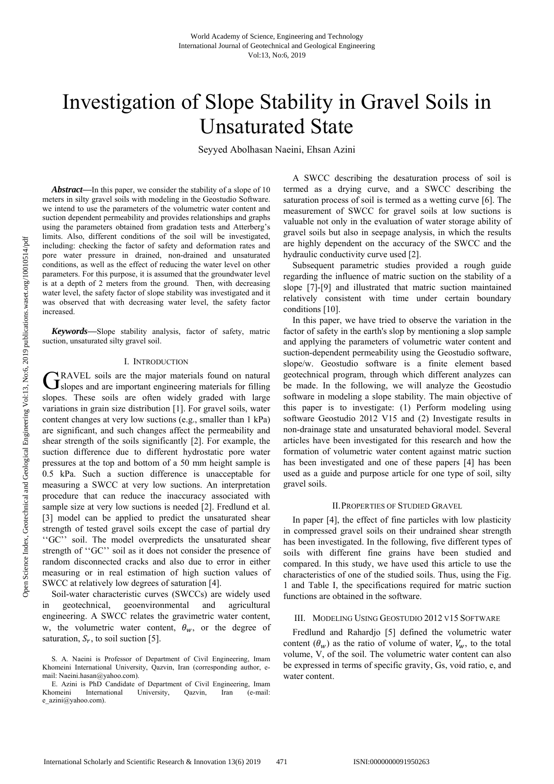# Investigation of Slope Stability in Gravel Soils in Unsaturated State

Seyyed Abolhasan Naeini, Ehsan Azini

*Abstract***—**In this paper, we consider the stability of a slope of 10 meters in silty gravel soils with modeling in the Geostudio Software. we intend to use the parameters of the volumetric water content and suction dependent permeability and provides relationships and graphs using the parameters obtained from gradation tests and Atterberg's limits. Also, different conditions of the soil will be investigated, including: checking the factor of safety and deformation rates and pore water pressure in drained, non-drained and unsaturated conditions, as well as the effect of reducing the water level on other parameters. For this purpose, it is assumed that the groundwater level is at a depth of 2 meters from the ground. Then, with decreasing water level, the safety factor of slope stability was investigated and it was observed that with decreasing water level, the safety factor increased.

*Keywords***—**Slope stability analysis, factor of safety, matric suction, unsaturated silty gravel soil.

#### I. INTRODUCTION

RAVEL soils are the major materials found on natural  $G_{\text{Slopes}}$  and are important engineering materials for filling slopes. These soils are often widely graded with large variations in grain size distribution [1]. For gravel soils, water content changes at very low suctions (e.g., smaller than 1 kPa) are significant, and such changes affect the permeability and shear strength of the soils significantly [2]. For example, the suction difference due to different hydrostatic pore water pressures at the top and bottom of a 50 mm height sample is 0.5 kPa. Such a suction difference is unacceptable for measuring a SWCC at very low suctions. An interpretation procedure that can reduce the inaccuracy associated with sample size at very low suctions is needed [2]. Fredlund et al. [3] model can be applied to predict the unsaturated shear strength of tested gravel soils except the case of partial dry ''GC'' soil. The model overpredicts the unsaturated shear strength of ''GC'' soil as it does not consider the presence of random disconnected cracks and also due to error in either measuring or in real estimation of high suction values of SWCC at relatively low degrees of saturation [4].

Soil-water characteristic curves (SWCCs) are widely used in geotechnical, geoenvironmental and agricultural engineering. A SWCC relates the gravimetric water content, w, the volumetric water content,  $\theta_w$ , or the degree of saturation,  $S_r$ , to soil suction [5].

A SWCC describing the desaturation process of soil is termed as a drying curve, and a SWCC describing the saturation process of soil is termed as a wetting curve [6]. The measurement of SWCC for gravel soils at low suctions is valuable not only in the evaluation of water storage ability of gravel soils but also in seepage analysis, in which the results are highly dependent on the accuracy of the SWCC and the hydraulic conductivity curve used [2].

Subsequent parametric studies provided a rough guide regarding the influence of matric suction on the stability of a slope [7]-[9] and illustrated that matric suction maintained relatively consistent with time under certain boundary conditions [10].

In this paper, we have tried to observe the variation in the factor of safety in the earth's slop by mentioning a slop sample and applying the parameters of volumetric water content and suction-dependent permeability using the Geostudio software, slope/w. Geostudio software is a finite element based geotechnical program, through which different analyzes can be made. In the following, we will analyze the Geostudio software in modeling a slope stability. The main objective of this paper is to investigate: (1) Perform modeling using software Geostudio 2012 V15 and (2) Investigate results in non-drainage state and unsaturated behavioral model. Several articles have been investigated for this research and how the formation of volumetric water content against matric suction has been investigated and one of these papers [4] has been used as a guide and purpose article for one type of soil, silty gravel soils.

#### II.PROPERTIES OF STUDIED GRAVEL

In paper [4], the effect of fine particles with low plasticity in compressed gravel soils on their undrained shear strength has been investigated. In the following, five different types of soils with different fine grains have been studied and compared. In this study, we have used this article to use the characteristics of one of the studied soils. Thus, using the Fig. 1 and Table I, the specifications required for matric suction functions are obtained in the software.

#### III. MODELING USING GEOSTUDIO 2012 V15 SOFTWARE

Fredlund and Rahardjo [5] defined the volumetric water content  $(\theta_w)$  as the ratio of volume of water,  $V_w$ , to the total volume, V, of the soil. The volumetric water content can also be expressed in terms of specific gravity, Gs, void ratio, e, and water content.

S. A. Naeini is Professor of Department of Civil Engineering, Imam Khomeini International University, Qazvin, Iran (corresponding author, email: Naeini.hasan@yahoo.com).

E. Azini is PhD Candidate of Department of Civil Engineering, Imam Khomeini International University, Qazvin, Iran (e-mail: e\_azini@yahoo.com).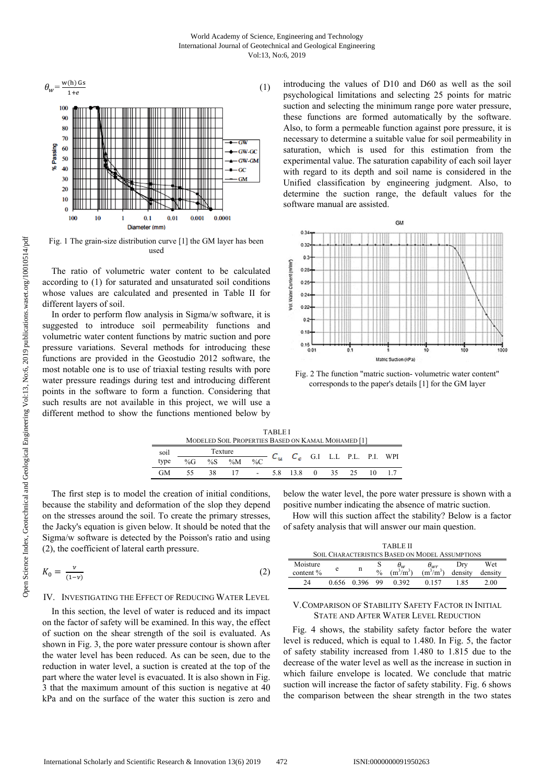

Fig. 1 The grain-size distribution curve [1] the GM layer has been used

The ratio of volumetric water content to be calculated according to (1) for saturated and unsaturated soil conditions whose values are calculated and presented in Table II for different layers of soil.

In order to perform flow analysis in Sigma/w software, it is suggested to introduce soil permeability functions and volumetric water content functions by matric suction and pore pressure variations. Several methods for introducing these functions are provided in the Geostudio 2012 software, the most notable one is to use of triaxial testing results with pore water pressure readings during test and introducing different points in the software to form a function. Considering that such results are not available in this project, we will use a different method to show the functions mentioned below by introducing the values of D10 and D60 as well as the soil psychological limitations and selecting 25 points for matric suction and selecting the minimum range pore water pressure, these functions are formed automatically by the software. Also, to form a permeable function against pore pressure, it is necessary to determine a suitable value for soil permeability in saturation, which is used for this estimation from the experimental value. The saturation capability of each soil layer with regard to its depth and soil name is considered in the Unified classification by engineering judgment. Also, to determine the suction range, the default values for the software manual are assisted.



Fig. 2 The function "matric suction- volumetric water content" corresponds to the paper's details [1] for the GM layer

|      |         |    |                                                    |                     | <b>TABLEI</b> |                                   |           |    |     |  |
|------|---------|----|----------------------------------------------------|---------------------|---------------|-----------------------------------|-----------|----|-----|--|
|      |         |    | MODELED SOIL PROPERTIES BASED ON KAMAL MOHAMED [1] |                     |               |                                   |           |    |     |  |
| soil | Texture |    |                                                    |                     |               | $C_u$ $C_c$ G.I L.L P.L. P.I. WPI |           |    |     |  |
| type | % $G$   | %S | $\%M$                                              | $\%C$               |               |                                   |           |    |     |  |
| GМ   |         | 38 | $\overline{17}$                                    | $\mathbf{m} = 0.01$ |               | 5.8 13.8                          | $0 \t 35$ | 25 | 10. |  |

The first step is to model the creation of initial conditions, because the stability and deformation of the slop they depend on the stresses around the soil. To create the primary stresses, the Jacky's equation is given below. It should be noted that the Sigma/w software is detected by the Poisson's ratio and using (2), the coefficient of lateral earth pressure.

$$
K_0 = \frac{\nu}{(1-\nu)}\tag{2}
$$

# IV. INVESTIGATING THE EFFECT OF REDUCING WATER LEVEL

In this section, the level of water is reduced and its impact on the factor of safety will be examined. In this way, the effect of suction on the shear strength of the soil is evaluated. As shown in Fig. 3, the pore water pressure contour is shown after the water level has been reduced. As can be seen, due to the reduction in water level, a suction is created at the top of the part where the water level is evacuated. It is also shown in Fig. 3 that the maximum amount of this suction is negative at 40 kPa and on the surface of the water this suction is zero and

below the water level, the pore water pressure is shown with a positive number indicating the absence of matric suction.

How will this suction affect the stability? Below is a factor of safety analysis that will answer our main question.

| TARLE II                                               |       |       |               |                         |                                  |                |                |  |  |  |  |
|--------------------------------------------------------|-------|-------|---------------|-------------------------|----------------------------------|----------------|----------------|--|--|--|--|
| <b>SOIL CHARACTERISTICS BASED ON MODEL ASSUMPTIONS</b> |       |       |               |                         |                                  |                |                |  |  |  |  |
| Moisture<br>content $%$                                | e     | n     | $\frac{0}{0}$ | $\sigma_w$<br>$m^3/m^3$ | $\theta_{wr}$<br>$\rm (m^3/m^3)$ | Drv<br>density | Wet<br>density |  |  |  |  |
| 24                                                     | 0.656 | 0.396 | 99            | 0.392                   | 0.157                            | 185            | 2.00           |  |  |  |  |

## V.COMPARISON OF STABILITY SAFETY FACTOR IN INITIAL STATE AND AFTER WATER LEVEL REDUCTION

Fig. 4 shows, the stability safety factor before the water level is reduced, which is equal to 1.480. In Fig. 5, the factor of safety stability increased from 1.480 to 1.815 due to the decrease of the water level as well as the increase in suction in which failure envelope is located. We conclude that matric suction will increase the factor of safety stability. Fig. 6 shows the comparison between the shear strength in the two states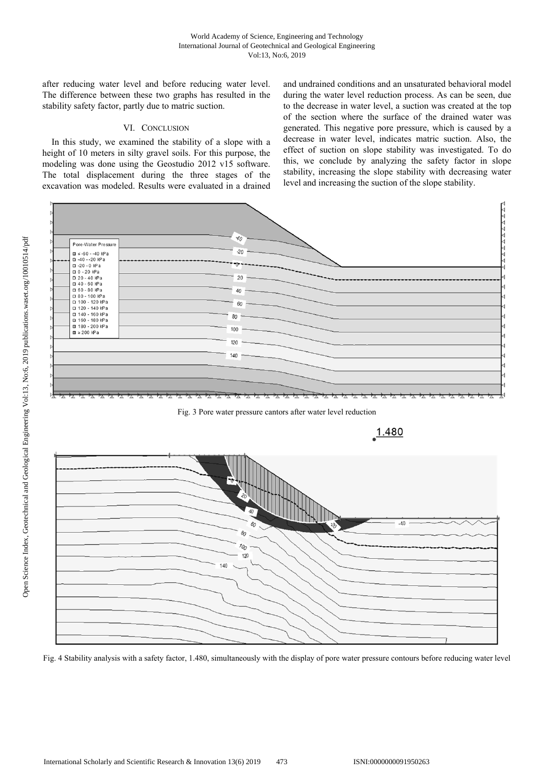after reducing water level and before reducing water level. The difference between these two graphs has resulted in the stability safety factor, partly due to matric suction.

# VI. CONCLUSION

In this study, we examined the stability of a slope with a height of 10 meters in silty gravel soils. For this purpose, the modeling was done using the Geostudio 2012 v15 software. The total displacement during the three stages of the excavation was modeled. Results were evaluated in a drained and undrained conditions and an unsaturated behavioral model during the water level reduction process. As can be seen, due to the decrease in water level, a suction was created at the top of the section where the surface of the drained water was generated. This negative pore pressure, which is caused by a decrease in water level, indicates matric suction. Also, the effect of suction on slope stability was investigated. To do this, we conclude by analyzing the safety factor in slope stability, increasing the slope stability with decreasing water level and increasing the suction of the slope stability.



Fig. 3 Pore water pressure cantors after water level reduction



Fig. 4 Stability analysis with a safety factor, 1.480, simultaneously with the display of pore water pressure contours before reducing water level